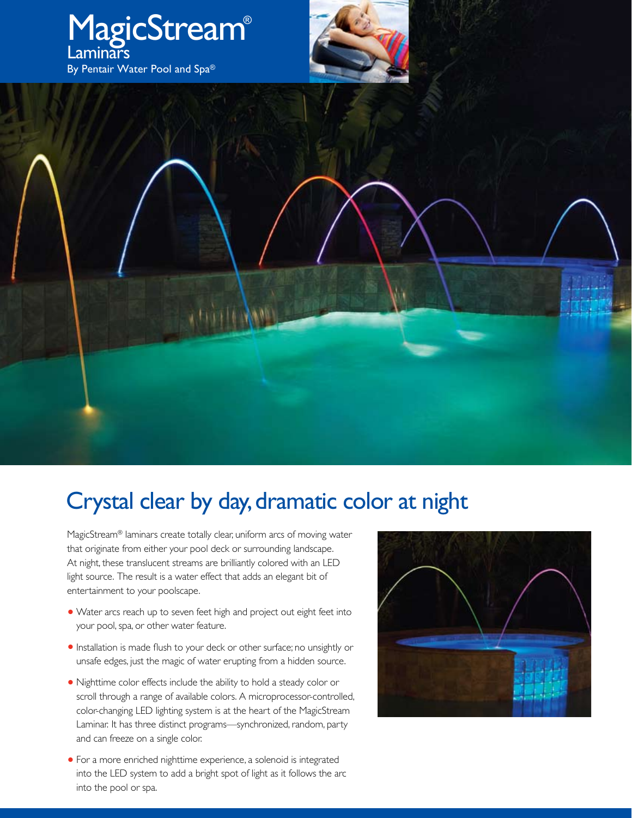

## Crystal clear by day, dramatic color at night

MagicStream® laminars create totally clear, uniform arcs of moving water that originate from either your pool deck or surrounding landscape. At night, these translucent streams are brilliantly colored with an LED light source. The result is a water effect that adds an elegant bit of entertainment to your poolscape.

- **•** Water arcs reach up to seven feet high and project out eight feet into your pool, spa, or other water feature.
- **•** Installation is made flush to your deck or other surface; no unsightly or unsafe edges, just the magic of water erupting from a hidden source.
- **•** Nighttime color effects include the ability to hold a steady color or scroll through a range of available colors. A microprocessor-controlled, color-changing LED lighting system is at the heart of the MagicStream Laminar. It has three distinct programs—synchronized, random, party and can freeze on a single color.
- **•** For a more enriched nighttime experience, a solenoid is integrated into the LED system to add a bright spot of light as it follows the arc into the pool or spa.